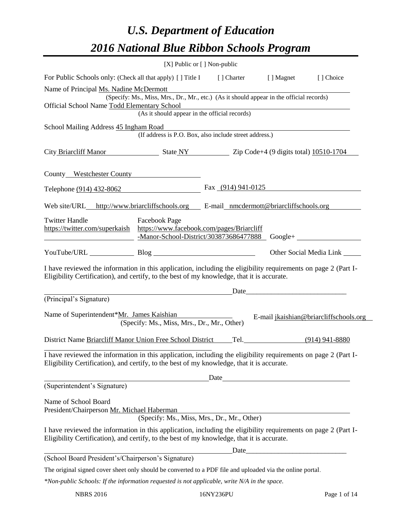# *U.S. Department of Education 2016 National Blue Ribbon Schools Program*

|                                                                                                                                                                                                                            | [X] Public or [] Non-public                                                              |                                                                                                                       |                                                                    |                                        |
|----------------------------------------------------------------------------------------------------------------------------------------------------------------------------------------------------------------------------|------------------------------------------------------------------------------------------|-----------------------------------------------------------------------------------------------------------------------|--------------------------------------------------------------------|----------------------------------------|
| For Public Schools only: (Check all that apply) [] Title I [] Charter [] Magnet                                                                                                                                            |                                                                                          |                                                                                                                       |                                                                    | [] Choice                              |
| Name of Principal Ms. Nadine McDermott                                                                                                                                                                                     |                                                                                          |                                                                                                                       |                                                                    |                                        |
| Official School Name Todd Elementary School                                                                                                                                                                                | (Specify: Ms., Miss, Mrs., Dr., Mr., etc.) (As it should appear in the official records) |                                                                                                                       |                                                                    |                                        |
|                                                                                                                                                                                                                            | (As it should appear in the official records)                                            | <u> 1989 - Johann Barn, mars ann an t-Amhain Aonaichte ann an t-Aonaichte ann an t-Aonaichte ann an t-Aonaichte a</u> |                                                                    |                                        |
| School Mailing Address 45 Ingham Road                                                                                                                                                                                      |                                                                                          |                                                                                                                       |                                                                    |                                        |
|                                                                                                                                                                                                                            | (If address is P.O. Box, also include street address.)                                   |                                                                                                                       |                                                                    |                                        |
| City Briarcliff Manor State NY 2ip Code+4 (9 digits total) 10510-1704                                                                                                                                                      |                                                                                          |                                                                                                                       |                                                                    |                                        |
| County Westchester County                                                                                                                                                                                                  |                                                                                          |                                                                                                                       |                                                                    |                                        |
| Telephone (914) 432-8062                                                                                                                                                                                                   |                                                                                          | Fax $(914)$ 941-0125                                                                                                  |                                                                    |                                        |
| Web site/URL_http://www.briarcliffschools.org E-mail_nmcdermott@briarcliffschools.org                                                                                                                                      |                                                                                          |                                                                                                                       |                                                                    |                                        |
| <b>Twitter Handle</b><br>https://twitter.com/superkaish https://www.facebook.com/pages/Briarcliff<br><u> 1989 - Johann Barbara, martin amerikan basar dan basa dan basa dan basa dalam basa dalam basa dalam basa dala</u> | <b>Facebook Page</b><br>-Manor-School-District/303873686477888 Google+                   |                                                                                                                       |                                                                    |                                        |
| YouTube/URL Blog Blog                                                                                                                                                                                                      |                                                                                          |                                                                                                                       |                                                                    | Other Social Media Link _______        |
| I have reviewed the information in this application, including the eligibility requirements on page 2 (Part I-<br>Eligibility Certification), and certify, to the best of my knowledge, that it is accurate.               |                                                                                          |                                                                                                                       |                                                                    |                                        |
|                                                                                                                                                                                                                            |                                                                                          |                                                                                                                       |                                                                    |                                        |
| (Principal's Signature)                                                                                                                                                                                                    |                                                                                          |                                                                                                                       |                                                                    |                                        |
| Name of Superintendent*Mr. James Kaishian                                                                                                                                                                                  | (Specify: Ms., Miss, Mrs., Dr., Mr., Other)                                              |                                                                                                                       |                                                                    | E-mail jkaishian@briarcliffschools.org |
| District Name Briarcliff Manor Union Free School District                                                                                                                                                                  |                                                                                          |                                                                                                                       | Tel. (914) 941-8880                                                |                                        |
| I have reviewed the information in this application, including the eligibility requirements on page 2 (Part I-<br>Eligibility Certification), and certify, to the best of my knowledge, that it is accurate.               |                                                                                          |                                                                                                                       |                                                                    |                                        |
|                                                                                                                                                                                                                            |                                                                                          | Date                                                                                                                  | <u> 1980 - Johann Barbara, martxa amerikan personal (h. 1980).</u> |                                        |
| (Superintendent's Signature)                                                                                                                                                                                               |                                                                                          |                                                                                                                       |                                                                    |                                        |
| Name of School Board<br>President/Chairperson Mr. Michael Haberman                                                                                                                                                         | (Specify: Ms., Miss, Mrs., Dr., Mr., Other)                                              |                                                                                                                       |                                                                    |                                        |
| I have reviewed the information in this application, including the eligibility requirements on page 2 (Part I-<br>Eligibility Certification), and certify, to the best of my knowledge, that it is accurate.               |                                                                                          |                                                                                                                       |                                                                    |                                        |
|                                                                                                                                                                                                                            |                                                                                          | Date                                                                                                                  |                                                                    |                                        |
| (School Board President's/Chairperson's Signature)                                                                                                                                                                         |                                                                                          |                                                                                                                       |                                                                    |                                        |
| The original signed cover sheet only should be converted to a PDF file and uploaded via the online portal.                                                                                                                 |                                                                                          |                                                                                                                       |                                                                    |                                        |
| *Non-public Schools: If the information requested is not applicable, write N/A in the space.                                                                                                                               |                                                                                          |                                                                                                                       |                                                                    |                                        |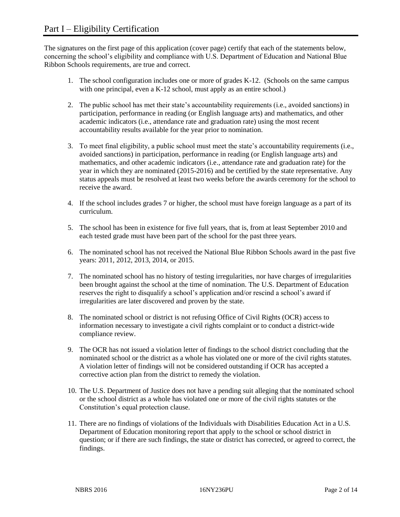The signatures on the first page of this application (cover page) certify that each of the statements below, concerning the school's eligibility and compliance with U.S. Department of Education and National Blue Ribbon Schools requirements, are true and correct.

- 1. The school configuration includes one or more of grades K-12. (Schools on the same campus with one principal, even a K-12 school, must apply as an entire school.)
- 2. The public school has met their state's accountability requirements (i.e., avoided sanctions) in participation, performance in reading (or English language arts) and mathematics, and other academic indicators (i.e., attendance rate and graduation rate) using the most recent accountability results available for the year prior to nomination.
- 3. To meet final eligibility, a public school must meet the state's accountability requirements (i.e., avoided sanctions) in participation, performance in reading (or English language arts) and mathematics, and other academic indicators (i.e., attendance rate and graduation rate) for the year in which they are nominated (2015-2016) and be certified by the state representative. Any status appeals must be resolved at least two weeks before the awards ceremony for the school to receive the award.
- 4. If the school includes grades 7 or higher, the school must have foreign language as a part of its curriculum.
- 5. The school has been in existence for five full years, that is, from at least September 2010 and each tested grade must have been part of the school for the past three years.
- 6. The nominated school has not received the National Blue Ribbon Schools award in the past five years: 2011, 2012, 2013, 2014, or 2015.
- 7. The nominated school has no history of testing irregularities, nor have charges of irregularities been brought against the school at the time of nomination. The U.S. Department of Education reserves the right to disqualify a school's application and/or rescind a school's award if irregularities are later discovered and proven by the state.
- 8. The nominated school or district is not refusing Office of Civil Rights (OCR) access to information necessary to investigate a civil rights complaint or to conduct a district-wide compliance review.
- 9. The OCR has not issued a violation letter of findings to the school district concluding that the nominated school or the district as a whole has violated one or more of the civil rights statutes. A violation letter of findings will not be considered outstanding if OCR has accepted a corrective action plan from the district to remedy the violation.
- 10. The U.S. Department of Justice does not have a pending suit alleging that the nominated school or the school district as a whole has violated one or more of the civil rights statutes or the Constitution's equal protection clause.
- 11. There are no findings of violations of the Individuals with Disabilities Education Act in a U.S. Department of Education monitoring report that apply to the school or school district in question; or if there are such findings, the state or district has corrected, or agreed to correct, the findings.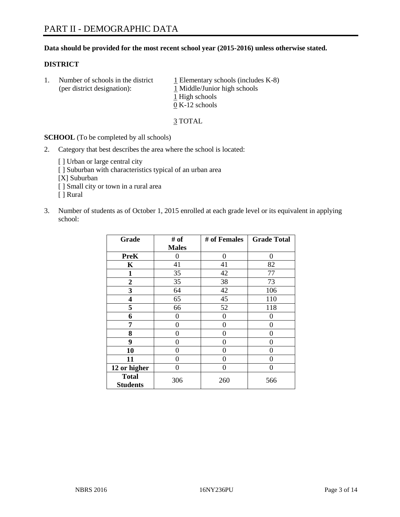# **Data should be provided for the most recent school year (2015-2016) unless otherwise stated.**

# **DISTRICT**

1. Number of schools in the district  $1$  Elementary schools (includes K-8) (per district designation):  $\frac{1 \text{ Middle/Junior high schools}}{}$ 1 High schools 0 K-12 schools

3 TOTAL

**SCHOOL** (To be completed by all schools)

- 2. Category that best describes the area where the school is located:
	- [] Urban or large central city [ ] Suburban with characteristics typical of an urban area [X] Suburban [ ] Small city or town in a rural area [ ] Rural
- 3. Number of students as of October 1, 2015 enrolled at each grade level or its equivalent in applying school:

| Grade                           | # of         | # of Females | <b>Grade Total</b> |
|---------------------------------|--------------|--------------|--------------------|
|                                 | <b>Males</b> |              |                    |
| <b>PreK</b>                     | 0            | 0            | 0                  |
| K                               | 41           | 41           | 82                 |
| $\mathbf{1}$                    | 35           | 42           | 77                 |
| $\overline{2}$                  | 35           | 38           | 73                 |
| 3                               | 64           | 42           | 106                |
| 4                               | 65           | 45           | 110                |
| 5                               | 66           | 52           | 118                |
| 6                               | 0            | 0            | 0                  |
| 7                               | 0            | 0            | 0                  |
| 8                               | 0            | 0            | 0                  |
| 9                               | 0            | 0            | 0                  |
| 10                              | 0            | 0            | 0                  |
| 11                              | 0            | 0            | 0                  |
| 12 or higher                    | 0            | 0            | 0                  |
| <b>Total</b><br><b>Students</b> | 306          | 260          | 566                |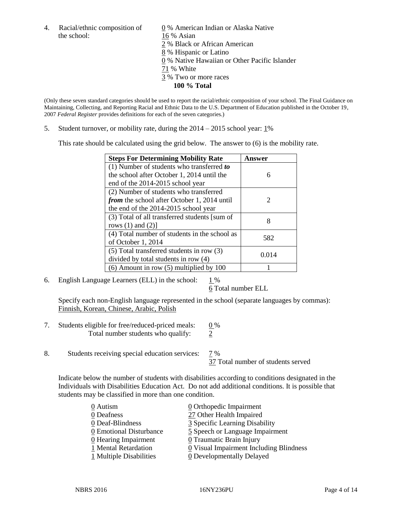the school: 16 % Asian

4. Racial/ethnic composition of  $\qquad 0\%$  American Indian or Alaska Native 2 % Black or African American 8 % Hispanic or Latino 0 % Native Hawaiian or Other Pacific Islander 71 % White 3 % Two or more races **100 % Total**

(Only these seven standard categories should be used to report the racial/ethnic composition of your school. The Final Guidance on Maintaining, Collecting, and Reporting Racial and Ethnic Data to the U.S. Department of Education published in the October 19, 2007 *Federal Register* provides definitions for each of the seven categories.)

5. Student turnover, or mobility rate, during the  $2014 - 2015$  school year:  $1\%$ 

This rate should be calculated using the grid below. The answer to (6) is the mobility rate.

| <b>Steps For Determining Mobility Rate</b>         | Answer                      |  |
|----------------------------------------------------|-----------------------------|--|
| $(1)$ Number of students who transferred to        |                             |  |
| the school after October 1, 2014 until the         | 6                           |  |
| end of the 2014-2015 school year                   |                             |  |
| (2) Number of students who transferred             |                             |  |
| <i>from</i> the school after October 1, 2014 until | $\mathcal{D}_{\mathcal{L}}$ |  |
| the end of the 2014-2015 school year               |                             |  |
| (3) Total of all transferred students [sum of      | 8                           |  |
| rows $(1)$ and $(2)$ ]                             |                             |  |
| (4) Total number of students in the school as      | 582                         |  |
| of October 1, 2014                                 |                             |  |
| (5) Total transferred students in row (3)          | 0.014                       |  |
| divided by total students in row (4)               |                             |  |
| $(6)$ Amount in row $(5)$ multiplied by 100        |                             |  |

6. English Language Learners (ELL) in the school:  $1\%$ 

6 Total number ELL

Specify each non-English language represented in the school (separate languages by commas): Finnish, Korean, Chinese, Arabic, Polish

- 7. Students eligible for free/reduced-priced meals:  $0\%$ Total number students who qualify:  $\frac{2}{3}$
- 8. Students receiving special education services: 7 %

37 Total number of students served

Indicate below the number of students with disabilities according to conditions designated in the Individuals with Disabilities Education Act. Do not add additional conditions. It is possible that students may be classified in more than one condition.

| 0 Autism                | $\underline{0}$ Orthopedic Impairment                 |
|-------------------------|-------------------------------------------------------|
| 0 Deafness              | 27 Other Health Impaired                              |
| 0 Deaf-Blindness        | 3 Specific Learning Disability                        |
| 0 Emotional Disturbance | 5 Speech or Language Impairment                       |
| 0 Hearing Impairment    | 0 Traumatic Brain Injury                              |
| 1 Mental Retardation    | $\underline{0}$ Visual Impairment Including Blindness |
| 1 Multiple Disabilities | 0 Developmentally Delayed                             |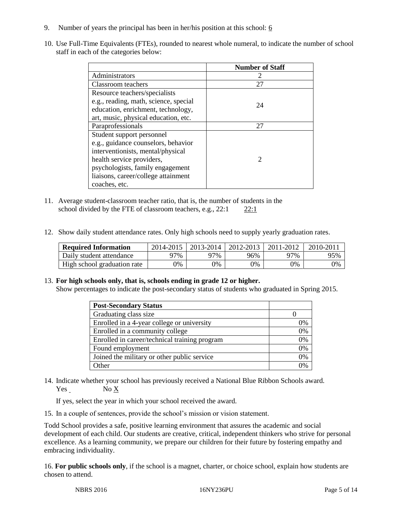- 9. Number of years the principal has been in her/his position at this school:  $6$
- 10. Use Full-Time Equivalents (FTEs), rounded to nearest whole numeral, to indicate the number of school staff in each of the categories below:

|                                       | <b>Number of Staff</b>      |
|---------------------------------------|-----------------------------|
| Administrators                        |                             |
| Classroom teachers                    | 27                          |
| Resource teachers/specialists         |                             |
| e.g., reading, math, science, special | 24                          |
| education, enrichment, technology,    |                             |
| art, music, physical education, etc.  |                             |
| Paraprofessionals                     | 27                          |
| Student support personnel             |                             |
| e.g., guidance counselors, behavior   |                             |
| interventionists, mental/physical     |                             |
| health service providers,             | $\mathcal{D}_{\mathcal{L}}$ |
| psychologists, family engagement      |                             |
| liaisons, career/college attainment   |                             |
| coaches, etc.                         |                             |

- 11. Average student-classroom teacher ratio, that is, the number of students in the school divided by the FTE of classroom teachers, e.g., 22:1 22:1
- 12. Show daily student attendance rates. Only high schools need to supply yearly graduation rates.

| <b>Required Information</b> | 2014-2015 | 2013-2014 | 2012-2013 | 2011-2012 | 2010-201 |
|-----------------------------|-----------|-----------|-----------|-----------|----------|
| Daily student attendance    | 77%       | 97%       | 96%       | 97%       | 95%      |
| High school graduation rate | 9%        | 0%        | 0%        | 9%        | 0%       |

# 13. **For high schools only, that is, schools ending in grade 12 or higher.**

Show percentages to indicate the post-secondary status of students who graduated in Spring 2015.

| <b>Post-Secondary Status</b>                  |    |
|-----------------------------------------------|----|
| Graduating class size                         |    |
| Enrolled in a 4-year college or university    | 0% |
| Enrolled in a community college               | 0% |
| Enrolled in career/technical training program | 0% |
| Found employment                              | 0% |
| Joined the military or other public service   | 0% |
| Other                                         | በ% |

14. Indicate whether your school has previously received a National Blue Ribbon Schools award. Yes No X

If yes, select the year in which your school received the award.

15. In a couple of sentences, provide the school's mission or vision statement.

Todd School provides a safe, positive learning environment that assures the academic and social development of each child. Our students are creative, critical, independent thinkers who strive for personal excellence. As a learning community, we prepare our children for their future by fostering empathy and embracing individuality.

16. **For public schools only**, if the school is a magnet, charter, or choice school, explain how students are chosen to attend.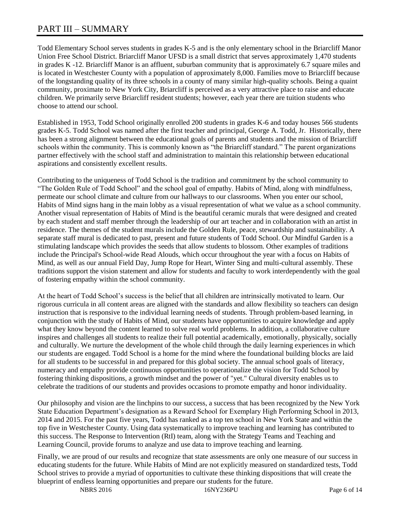# PART III – SUMMARY

Todd Elementary School serves students in grades K-5 and is the only elementary school in the Briarcliff Manor Union Free School District. Briarcliff Manor UFSD is a small district that serves approximately 1,470 students in grades K -12. Briarcliff Manor is an affluent, suburban community that is approximately 6.7 square miles and is located in Westchester County with a population of approximately 8,000. Families move to Briarcliff because of the longstanding quality of its three schools in a county of many similar high-quality schools. Being a quaint community, proximate to New York City, Briarcliff is perceived as a very attractive place to raise and educate children. We primarily serve Briarcliff resident students; however, each year there are tuition students who choose to attend our school.

Established in 1953, Todd School originally enrolled 200 students in grades K-6 and today houses 566 students grades K-5. Todd School was named after the first teacher and principal, George A. Todd, Jr. Historically, there has been a strong alignment between the educational goals of parents and students and the mission of Briarcliff schools within the community. This is commonly known as "the Briarcliff standard." The parent organizations partner effectively with the school staff and administration to maintain this relationship between educational aspirations and consistently excellent results.

Contributing to the uniqueness of Todd School is the tradition and commitment by the school community to "The Golden Rule of Todd School" and the school goal of empathy. Habits of Mind, along with mindfulness, permeate our school climate and culture from our hallways to our classrooms. When you enter our school, Habits of Mind signs hang in the main lobby as a visual representation of what we value as a school community. Another visual representation of Habits of Mind is the beautiful ceramic murals that were designed and created by each student and staff member through the leadership of our art teacher and in collaboration with an artist in residence. The themes of the student murals include the Golden Rule, peace, stewardship and sustainability. A separate staff mural is dedicated to past, present and future students of Todd School. Our Mindful Garden is a stimulating landscape which provides the seeds that allow students to blossom. Other examples of traditions include the Principal's School-wide Read Alouds, which occur throughout the year with a focus on Habits of Mind, as well as our annual Field Day, Jump Rope for Heart, Winter Sing and multi-cultural assembly. These traditions support the vision statement and allow for students and faculty to work interdependently with the goal of fostering empathy within the school community.

At the heart of Todd School's success is the belief that all children are intrinsically motivated to learn. Our rigorous curricula in all content areas are aligned with the standards and allow flexibility so teachers can design instruction that is responsive to the individual learning needs of students. Through problem-based learning, in conjunction with the study of Habits of Mind, our students have opportunities to acquire knowledge and apply what they know beyond the content learned to solve real world problems. In addition, a collaborative culture inspires and challenges all students to realize their full potential academically, emotionally, physically, socially and culturally. We nurture the development of the whole child through the daily learning experiences in which our students are engaged. Todd School is a home for the mind where the foundational building blocks are laid for all students to be successful in and prepared for this global society. The annual school goals of literacy, numeracy and empathy provide continuous opportunities to operationalize the vision for Todd School by fostering thinking dispositions, a growth mindset and the power of "yet." Cultural diversity enables us to celebrate the traditions of our students and provides occasions to promote empathy and honor individuality.

Our philosophy and vision are the linchpins to our success, a success that has been recognized by the New York State Education Department's designation as a Reward School for Exemplary High Performing School in 2013, 2014 and 2015. For the past five years, Todd has ranked as a top ten school in New York State and within the top five in Westchester County. Using data systematically to improve teaching and learning has contributed to this success. The Response to Intervention (RtI) team, along with the Strategy Teams and Teaching and Learning Council, provide forums to analyze and use data to improve teaching and learning.

Finally, we are proud of our results and recognize that state assessments are only one measure of our success in educating students for the future. While Habits of Mind are not explicitly measured on standardized tests, Todd School strives to provide a myriad of opportunities to cultivate these thinking dispositions that will create the blueprint of endless learning opportunities and prepare our students for the future.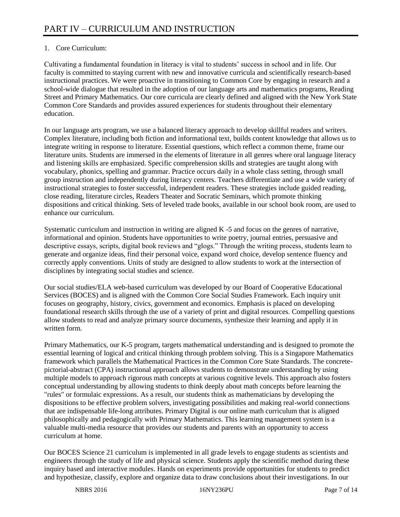# 1. Core Curriculum:

Cultivating a fundamental foundation in literacy is vital to students' success in school and in life. Our faculty is committed to staying current with new and innovative curricula and scientifically research-based instructional practices. We were proactive in transitioning to Common Core by engaging in research and a school-wide dialogue that resulted in the adoption of our language arts and mathematics programs, Reading Street and Primary Mathematics. Our core curricula are clearly defined and aligned with the New York State Common Core Standards and provides assured experiences for students throughout their elementary education.

In our language arts program, we use a balanced literacy approach to develop skillful readers and writers. Complex literature, including both fiction and informational text, builds content knowledge that allows us to integrate writing in response to literature. Essential questions, which reflect a common theme, frame our literature units. Students are immersed in the elements of literature in all genres where oral language literacy and listening skills are emphasized. Specific comprehension skills and strategies are taught along with vocabulary, phonics, spelling and grammar. Practice occurs daily in a whole class setting, through small group instruction and independently during literacy centers. Teachers differentiate and use a wide variety of instructional strategies to foster successful, independent readers. These strategies include guided reading, close reading, literature circles, Readers Theater and Socratic Seminars, which promote thinking dispositions and critical thinking. Sets of leveled trade books, available in our school book room, are used to enhance our curriculum.

Systematic curriculum and instruction in writing are aligned K -5 and focus on the genres of narrative, informational and opinion. Students have opportunities to write poetry, journal entries, persuasive and descriptive essays, scripts, digital book reviews and "glogs." Through the writing process, students learn to generate and organize ideas, find their personal voice, expand word choice, develop sentence fluency and correctly apply conventions. Units of study are designed to allow students to work at the intersection of disciplines by integrating social studies and science.

Our social studies/ELA web-based curriculum was developed by our Board of Cooperative Educational Services (BOCES) and is aligned with the Common Core Social Studies Framework. Each inquiry unit focuses on geography, history, civics, government and economics. Emphasis is placed on developing foundational research skills through the use of a variety of print and digital resources. Compelling questions allow students to read and analyze primary source documents, synthesize their learning and apply it in written form.

Primary Mathematics, our K-5 program, targets mathematical understanding and is designed to promote the essential learning of logical and critical thinking through problem solving. This is a Singapore Mathematics framework which parallels the Mathematical Practices in the Common Core State Standards. The concretepictorial-abstract (CPA) instructional approach allows students to demonstrate understanding by using multiple models to approach rigorous math concepts at various cognitive levels. This approach also fosters conceptual understanding by allowing students to think deeply about math concepts before learning the "rules" or formulaic expressions. As a result, our students think as mathematicians by developing the dispositions to be effective problem solvers, investigating possibilities and making real-world connections that are indispensable life-long attributes. Primary Digital is our online math curriculum that is aligned philosophically and pedagogically with Primary Mathematics. This learning management system is a valuable multi-media resource that provides our students and parents with an opportunity to access curriculum at home.

Our BOCES Science 21 curriculum is implemented in all grade levels to engage students as scientists and engineers through the study of life and physical science. Students apply the scientific method during these inquiry based and interactive modules. Hands on experiments provide opportunities for students to predict and hypothesize, classify, explore and organize data to draw conclusions about their investigations. In our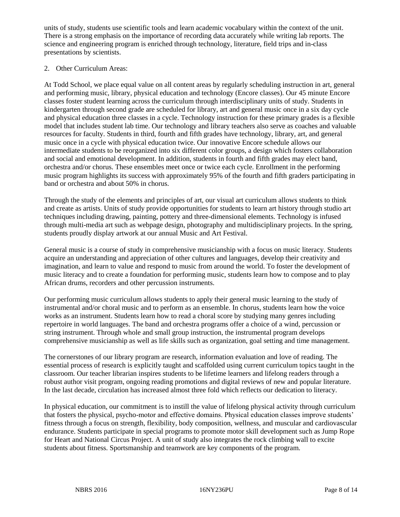units of study, students use scientific tools and learn academic vocabulary within the context of the unit. There is a strong emphasis on the importance of recording data accurately while writing lab reports. The science and engineering program is enriched through technology, literature, field trips and in-class presentations by scientists.

# 2. Other Curriculum Areas:

At Todd School, we place equal value on all content areas by regularly scheduling instruction in art, general and performing music, library, physical education and technology (Encore classes). Our 45 minute Encore classes foster student learning across the curriculum through interdisciplinary units of study. Students in kindergarten through second grade are scheduled for library, art and general music once in a six day cycle and physical education three classes in a cycle. Technology instruction for these primary grades is a flexible model that includes student lab time. Our technology and library teachers also serve as coaches and valuable resources for faculty. Students in third, fourth and fifth grades have technology, library, art, and general music once in a cycle with physical education twice. Our innovative Encore schedule allows our intermediate students to be reorganized into six different color groups, a design which fosters collaboration and social and emotional development. In addition, students in fourth and fifth grades may elect band, orchestra and/or chorus. These ensembles meet once or twice each cycle. Enrollment in the performing music program highlights its success with approximately 95% of the fourth and fifth graders participating in band or orchestra and about 50% in chorus.

Through the study of the elements and principles of art, our visual art curriculum allows students to think and create as artists. Units of study provide opportunities for students to learn art history through studio art techniques including drawing, painting, pottery and three-dimensional elements. Technology is infused through multi-media art such as webpage design, photography and multidisciplinary projects. In the spring, students proudly display artwork at our annual Music and Art Festival.

General music is a course of study in comprehensive musicianship with a focus on music literacy. Students acquire an understanding and appreciation of other cultures and languages, develop their creativity and imagination, and learn to value and respond to music from around the world. To foster the development of music literacy and to create a foundation for performing music, students learn how to compose and to play African drums, recorders and other percussion instruments.

Our performing music curriculum allows students to apply their general music learning to the study of instrumental and/or choral music and to perform as an ensemble. In chorus, students learn how the voice works as an instrument. Students learn how to read a choral score by studying many genres including repertoire in world languages. The band and orchestra programs offer a choice of a wind, percussion or string instrument. Through whole and small group instruction, the instrumental program develops comprehensive musicianship as well as life skills such as organization, goal setting and time management.

The cornerstones of our library program are research, information evaluation and love of reading. The essential process of research is explicitly taught and scaffolded using current curriculum topics taught in the classroom. Our teacher librarian inspires students to be lifetime learners and lifelong readers through a robust author visit program, ongoing reading promotions and digital reviews of new and popular literature. In the last decade, circulation has increased almost three fold which reflects our dedication to literacy.

In physical education, our commitment is to instill the value of lifelong physical activity through curriculum that fosters the physical, psycho-motor and effective domains. Physical education classes improve students' fitness through a focus on strength, flexibility, body composition, wellness, and muscular and cardiovascular endurance. Students participate in special programs to promote motor skill development such as Jump Rope for Heart and National Circus Project. A unit of study also integrates the rock climbing wall to excite students about fitness. Sportsmanship and teamwork are key components of the program.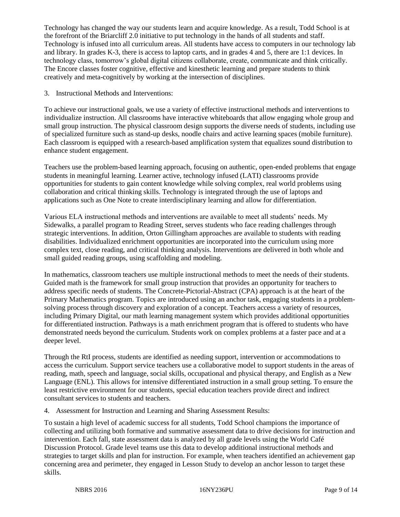Technology has changed the way our students learn and acquire knowledge. As a result, Todd School is at the forefront of the Briarcliff 2.0 initiative to put technology in the hands of all students and staff. Technology is infused into all curriculum areas. All students have access to computers in our technology lab and library. In grades K-3, there is access to laptop carts, and in grades 4 and 5, there are 1:1 devices. In technology class, tomorrow's global digital citizens collaborate, create, communicate and think critically. The Encore classes foster cognitive, effective and kinesthetic learning and prepare students to think creatively and meta-cognitively by working at the intersection of disciplines.

3. Instructional Methods and Interventions:

To achieve our instructional goals, we use a variety of effective instructional methods and interventions to individualize instruction. All classrooms have interactive whiteboards that allow engaging whole group and small group instruction. The physical classroom design supports the diverse needs of students, including use of specialized furniture such as stand-up desks, noodle chairs and active learning spaces (mobile furniture). Each classroom is equipped with a research-based amplification system that equalizes sound distribution to enhance student engagement.

Teachers use the problem-based learning approach, focusing on authentic, open-ended problems that engage students in meaningful learning. Learner active, technology infused (LATI) classrooms provide opportunities for students to gain content knowledge while solving complex, real world problems using collaboration and critical thinking skills. Technology is integrated through the use of laptops and applications such as One Note to create interdisciplinary learning and allow for differentiation.

Various ELA instructional methods and interventions are available to meet all students' needs. My Sidewalks, a parallel program to Reading Street, serves students who face reading challenges through strategic interventions. In addition, Orton Gillingham approaches are available to students with reading disabilities. Individualized enrichment opportunities are incorporated into the curriculum using more complex text, close reading, and critical thinking analysis. Interventions are delivered in both whole and small guided reading groups, using scaffolding and modeling.

In mathematics, classroom teachers use multiple instructional methods to meet the needs of their students. Guided math is the framework for small group instruction that provides an opportunity for teachers to address specific needs of students. The Concrete-Pictorial-Abstract (CPA) approach is at the heart of the Primary Mathematics program. Topics are introduced using an anchor task, engaging students in a problemsolving process through discovery and exploration of a concept. Teachers access a variety of resources, including Primary Digital, our math learning management system which provides additional opportunities for differentiated instruction. Pathways is a math enrichment program that is offered to students who have demonstrated needs beyond the curriculum. Students work on complex problems at a faster pace and at a deeper level.

Through the RtI process, students are identified as needing support, intervention or accommodations to access the curriculum. Support service teachers use a collaborative model to support students in the areas of reading, math, speech and language, social skills, occupational and physical therapy, and English as a New Language (ENL). This allows for intensive differentiated instruction in a small group setting. To ensure the least restrictive environment for our students, special education teachers provide direct and indirect consultant services to students and teachers.

4. Assessment for Instruction and Learning and Sharing Assessment Results:

To sustain a high level of academic success for all students, Todd School champions the importance of collecting and utilizing both formative and summative assessment data to drive decisions for instruction and intervention. Each fall, state assessment data is analyzed by all grade levels using the World Café Discussion Protocol. Grade level teams use this data to develop additional instructional methods and strategies to target skills and plan for instruction. For example, when teachers identified an achievement gap concerning area and perimeter, they engaged in Lesson Study to develop an anchor lesson to target these skills.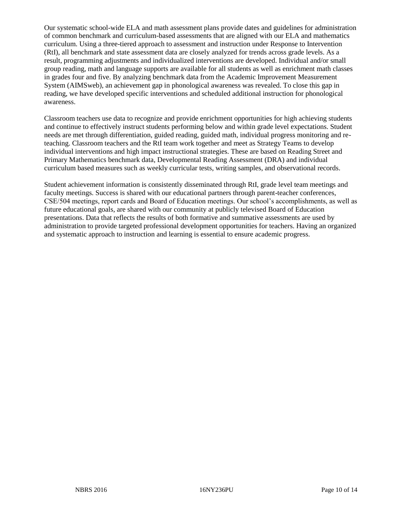Our systematic school-wide ELA and math assessment plans provide dates and guidelines for administration of common benchmark and curriculum-based assessments that are aligned with our ELA and mathematics curriculum. Using a three-tiered approach to assessment and instruction under Response to Intervention (RtI), all benchmark and state assessment data are closely analyzed for trends across grade levels. As a result, programming adjustments and individualized interventions are developed. Individual and/or small group reading, math and language supports are available for all students as well as enrichment math classes in grades four and five. By analyzing benchmark data from the Academic Improvement Measurement System (AIMSweb), an achievement gap in phonological awareness was revealed. To close this gap in reading, we have developed specific interventions and scheduled additional instruction for phonological awareness.

Classroom teachers use data to recognize and provide enrichment opportunities for high achieving students and continue to effectively instruct students performing below and within grade level expectations. Student needs are met through differentiation, guided reading, guided math, individual progress monitoring and reteaching. Classroom teachers and the RtI team work together and meet as Strategy Teams to develop individual interventions and high impact instructional strategies. These are based on Reading Street and Primary Mathematics benchmark data, Developmental Reading Assessment (DRA) and individual curriculum based measures such as weekly curricular tests, writing samples, and observational records.

Student achievement information is consistently disseminated through RtI, grade level team meetings and faculty meetings. Success is shared with our educational partners through parent-teacher conferences, CSE/504 meetings, report cards and Board of Education meetings. Our school's accomplishments, as well as future educational goals, are shared with our community at publicly televised Board of Education presentations. Data that reflects the results of both formative and summative assessments are used by administration to provide targeted professional development opportunities for teachers. Having an organized and systematic approach to instruction and learning is essential to ensure academic progress.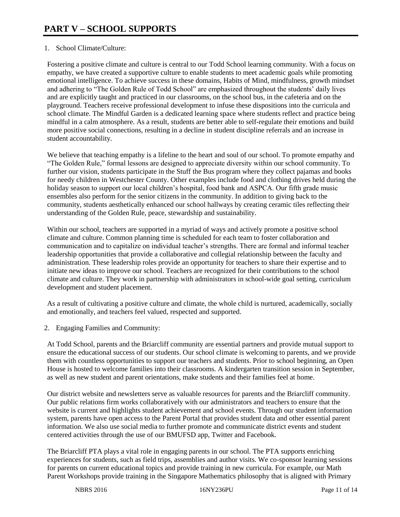# 1. School Climate/Culture:

Fostering a positive climate and culture is central to our Todd School learning community. With a focus on empathy, we have created a supportive culture to enable students to meet academic goals while promoting emotional intelligence. To achieve success in these domains, Habits of Mind, mindfulness, growth mindset and adhering to "The Golden Rule of Todd School" are emphasized throughout the students' daily lives and are explicitly taught and practiced in our classrooms, on the school bus, in the cafeteria and on the playground. Teachers receive professional development to infuse these dispositions into the curricula and school climate. The Mindful Garden is a dedicated learning space where students reflect and practice being mindful in a calm atmosphere. As a result, students are better able to self-regulate their emotions and build more positive social connections, resulting in a decline in student discipline referrals and an increase in student accountability.

We believe that teaching empathy is a lifeline to the heart and soul of our school. To promote empathy and "The Golden Rule," formal lessons are designed to appreciate diversity within our school community. To further our vision, students participate in the Stuff the Bus program where they collect pajamas and books for needy children in Westchester County. Other examples include food and clothing drives held during the holiday season to support our local children's hospital, food bank and ASPCA. Our fifth grade music ensembles also perform for the senior citizens in the community. In addition to giving back to the community, students aesthetically enhanced our school hallways by creating ceramic tiles reflecting their understanding of the Golden Rule, peace, stewardship and sustainability.

Within our school, teachers are supported in a myriad of ways and actively promote a positive school climate and culture. Common planning time is scheduled for each team to foster collaboration and communication and to capitalize on individual teacher's strengths. There are formal and informal teacher leadership opportunities that provide a collaborative and collegial relationship between the faculty and administration. These leadership roles provide an opportunity for teachers to share their expertise and to initiate new ideas to improve our school. Teachers are recognized for their contributions to the school climate and culture. They work in partnership with administrators in school-wide goal setting, curriculum development and student placement.

As a result of cultivating a positive culture and climate, the whole child is nurtured, academically, socially and emotionally, and teachers feel valued, respected and supported.

2. Engaging Families and Community:

At Todd School, parents and the Briarcliff community are essential partners and provide mutual support to ensure the educational success of our students. Our school climate is welcoming to parents, and we provide them with countless opportunities to support our teachers and students. Prior to school beginning, an Open House is hosted to welcome families into their classrooms. A kindergarten transition session in September, as well as new student and parent orientations, make students and their families feel at home.

Our district website and newsletters serve as valuable resources for parents and the Briarcliff community. Our public relations firm works collaboratively with our administrators and teachers to ensure that the website is current and highlights student achievement and school events. Through our student information system, parents have open access to the Parent Portal that provides student data and other essential parent information. We also use social media to further promote and communicate district events and student centered activities through the use of our BMUFSD app, Twitter and Facebook.

The Briarcliff PTA plays a vital role in engaging parents in our school. The PTA supports enriching experiences for students, such as field trips, assemblies and author visits. We co-sponsor learning sessions for parents on current educational topics and provide training in new curricula. For example, our Math Parent Workshops provide training in the Singapore Mathematics philosophy that is aligned with Primary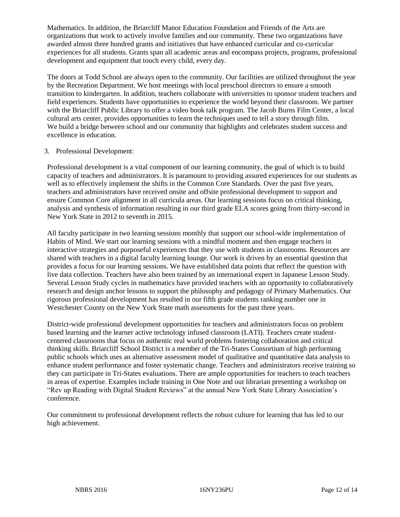Mathematics. In addition, the Briarcliff Manor Education Foundation and Friends of the Arts are organizations that work to actively involve families and our community. These two organizations have awarded almost three hundred grants and initiatives that have enhanced curricular and co-curricular experiences for all students. Grants span all academic areas and encompass projects, programs, professional development and equipment that touch every child, every day.

The doors at Todd School are always open to the community. Our facilities are utilized throughout the year by the Recreation Department. We host meetings with local preschool directors to ensure a smooth transition to kindergarten. In addition, teachers collaborate with universities to sponsor student teachers and field experiences. Students have opportunities to experience the world beyond their classroom. We partner with the Briarcliff Public Library to offer a video book talk program. The Jacob Burns Film Center, a local cultural arts center, provides opportunities to learn the techniques used to tell a story through film. We build a bridge between school and our community that highlights and celebrates student success and excellence in education.

# 3. Professional Development:

Professional development is a vital component of our learning community, the goal of which is to build capacity of teachers and administrators. It is paramount to providing assured experiences for our students as well as to effectively implement the shifts in the Common Core Standards. Over the past five years, teachers and administrators have received onsite and offsite professional development to support and ensure Common Core alignment in all curricula areas. Our learning sessions focus on critical thinking, analysis and synthesis of information resulting in our third grade ELA scores going from thirty-second in New York State in 2012 to seventh in 2015.

All faculty participate in two learning sessions monthly that support our school-wide implementation of Habits of Mind. We start our learning sessions with a mindful moment and then engage teachers in interactive strategies and purposeful experiences that they use with students in classrooms. Resources are shared with teachers in a digital faculty learning lounge. Our work is driven by an essential question that provides a focus for our learning sessions. We have established data points that reflect the question with live data collection. Teachers have also been trained by an international expert in Japanese Lesson Study. Several Lesson Study cycles in mathematics have provided teachers with an opportunity to collaboratively research and design anchor lessons to support the philosophy and pedagogy of Primary Mathematics. Our rigorous professional development has resulted in our fifth grade students ranking number one in Westchester County on the New York State math assessments for the past three years.

District-wide professional development opportunities for teachers and administrators focus on problem based learning and the learner active technology infused classroom (LATI). Teachers create studentcentered classrooms that focus on authentic real world problems fostering collaboration and critical thinking skills. Briarcliff School District is a member of the Tri-States Consortium of high performing public schools which uses an alternative assessment model of qualitative and quantitative data analysis to enhance student performance and foster systematic change. Teachers and administrators receive training so they can participate in Tri-States evaluations. There are ample opportunities for teachers to teach teachers in areas of expertise. Examples include training in One Note and our librarian presenting a workshop on "Rev up Reading with Digital Student Reviews" at the annual New York State Library Association's conference.

Our commitment to professional development reflects the robust culture for learning that has led to our high achievement.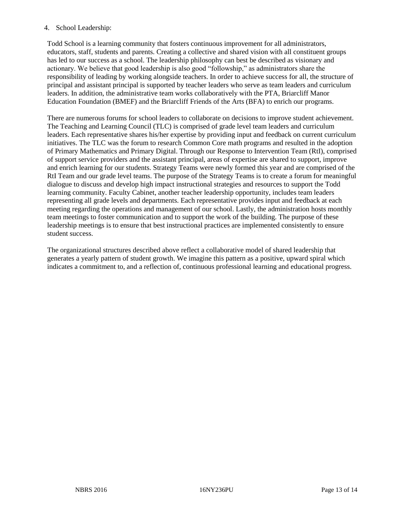# 4. School Leadership:

Todd School is a learning community that fosters continuous improvement for all administrators, educators, staff, students and parents. Creating a collective and shared vision with all constituent groups has led to our success as a school. The leadership philosophy can best be described as visionary and actionary. We believe that good leadership is also good "followship," as administrators share the responsibility of leading by working alongside teachers. In order to achieve success for all, the structure of principal and assistant principal is supported by teacher leaders who serve as team leaders and curriculum leaders. In addition, the administrative team works collaboratively with the PTA, Briarcliff Manor Education Foundation (BMEF) and the Briarcliff Friends of the Arts (BFA) to enrich our programs.

There are numerous forums for school leaders to collaborate on decisions to improve student achievement. The Teaching and Learning Council (TLC) is comprised of grade level team leaders and curriculum leaders. Each representative shares his/her expertise by providing input and feedback on current curriculum initiatives. The TLC was the forum to research Common Core math programs and resulted in the adoption of Primary Mathematics and Primary Digital. Through our Response to Intervention Team (RtI), comprised of support service providers and the assistant principal, areas of expertise are shared to support, improve and enrich learning for our students. Strategy Teams were newly formed this year and are comprised of the RtI Team and our grade level teams. The purpose of the Strategy Teams is to create a forum for meaningful dialogue to discuss and develop high impact instructional strategies and resources to support the Todd learning community. Faculty Cabinet, another teacher leadership opportunity, includes team leaders representing all grade levels and departments. Each representative provides input and feedback at each meeting regarding the operations and management of our school. Lastly, the administration hosts monthly team meetings to foster communication and to support the work of the building. The purpose of these leadership meetings is to ensure that best instructional practices are implemented consistently to ensure student success.

The organizational structures described above reflect a collaborative model of shared leadership that generates a yearly pattern of student growth. We imagine this pattern as a positive, upward spiral which indicates a commitment to, and a reflection of, continuous professional learning and educational progress.